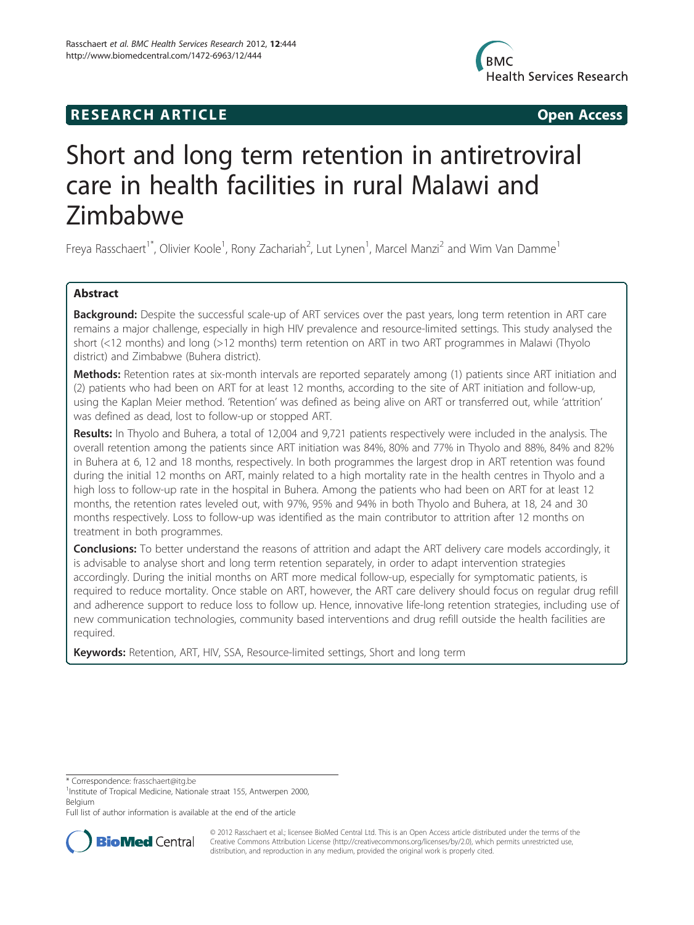## **RESEARCH ARTICLE Example 2018 12:00 Open Access**



# Short and long term retention in antiretroviral care in health facilities in rural Malawi and Zimbabwe

Freya Rasschaert<sup>1\*</sup>, Olivier Koole<sup>1</sup>, Rony Zachariah<sup>2</sup>, Lut Lynen<sup>1</sup>, Marcel Manzi<sup>2</sup> and Wim Van Damme<sup>1</sup>

## Abstract

Background: Despite the successful scale-up of ART services over the past years, long term retention in ART care remains a major challenge, especially in high HIV prevalence and resource-limited settings. This study analysed the short (<12 months) and long (>12 months) term retention on ART in two ART programmes in Malawi (Thyolo district) and Zimbabwe (Buhera district).

Methods: Retention rates at six-month intervals are reported separately among (1) patients since ART initiation and (2) patients who had been on ART for at least 12 months, according to the site of ART initiation and follow-up, using the Kaplan Meier method. 'Retention' was defined as being alive on ART or transferred out, while 'attrition' was defined as dead, lost to follow-up or stopped ART.

Results: In Thyolo and Buhera, a total of 12,004 and 9,721 patients respectively were included in the analysis. The overall retention among the patients since ART initiation was 84%, 80% and 77% in Thyolo and 88%, 84% and 82% in Buhera at 6, 12 and 18 months, respectively. In both programmes the largest drop in ART retention was found during the initial 12 months on ART, mainly related to a high mortality rate in the health centres in Thyolo and a high loss to follow-up rate in the hospital in Buhera. Among the patients who had been on ART for at least 12 months, the retention rates leveled out, with 97%, 95% and 94% in both Thyolo and Buhera, at 18, 24 and 30 months respectively. Loss to follow-up was identified as the main contributor to attrition after 12 months on treatment in both programmes.

**Conclusions:** To better understand the reasons of attrition and adapt the ART delivery care models accordingly, it is advisable to analyse short and long term retention separately, in order to adapt intervention strategies accordingly. During the initial months on ART more medical follow-up, especially for symptomatic patients, is required to reduce mortality. Once stable on ART, however, the ART care delivery should focus on regular drug refill and adherence support to reduce loss to follow up. Hence, innovative life-long retention strategies, including use of new communication technologies, community based interventions and drug refill outside the health facilities are required.

Keywords: Retention, ART, HIV, SSA, Resource-limited settings, Short and long term

\* Correspondence: [frasschaert@itg.be](mailto:frasschaert@itg.be) <sup>1</sup>

Full list of author information is available at the end of the article



© 2012 Rasschaert et al.; licensee BioMed Central Ltd. This is an Open Access article distributed under the terms of the Creative Commons Attribution License (<http://creativecommons.org/licenses/by/2.0>), which permits unrestricted use, distribution, and reproduction in any medium, provided the original work is properly cited.

<sup>&</sup>lt;sup>1</sup>Institute of Tropical Medicine, Nationale straat 155, Antwerpen 2000, Belgium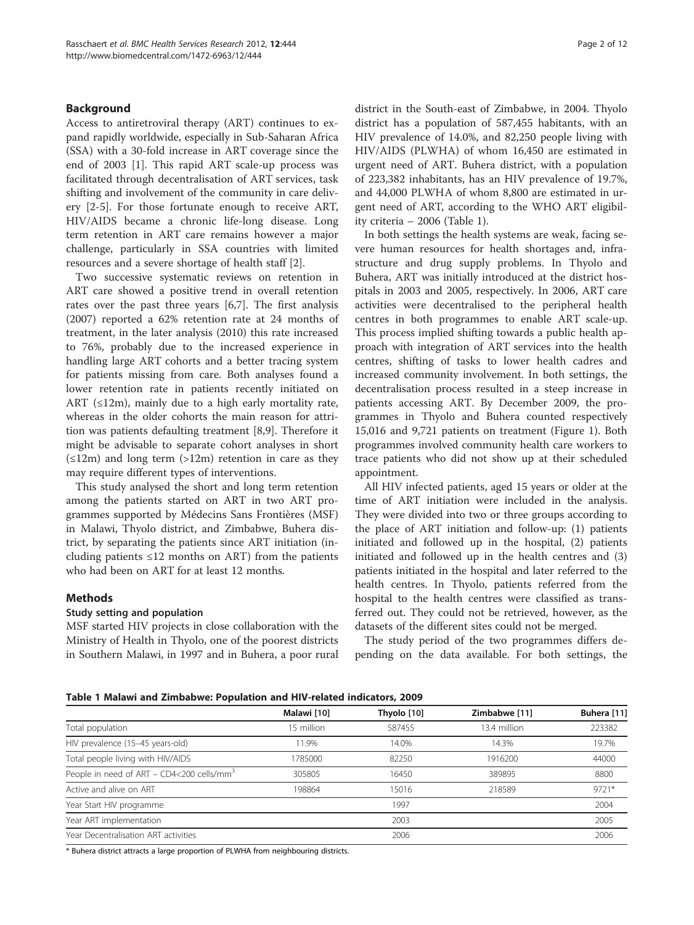## Background

Access to antiretroviral therapy (ART) continues to expand rapidly worldwide, especially in Sub-Saharan Africa (SSA) with a 30-fold increase in ART coverage since the end of 2003 [\[1](#page-10-0)]. This rapid ART scale-up process was facilitated through decentralisation of ART services, task shifting and involvement of the community in care delivery [\[2](#page-10-0)-[5\]](#page-10-0). For those fortunate enough to receive ART, HIV/AIDS became a chronic life-long disease. Long term retention in ART care remains however a major challenge, particularly in SSA countries with limited resources and a severe shortage of health staff [[2\]](#page-10-0).

Two successive systematic reviews on retention in ART care showed a positive trend in overall retention rates over the past three years [[6,7\]](#page-10-0). The first analysis (2007) reported a 62% retention rate at 24 months of treatment, in the later analysis (2010) this rate increased to 76%, probably due to the increased experience in handling large ART cohorts and a better tracing system for patients missing from care. Both analyses found a lower retention rate in patients recently initiated on ART  $(\leq 12m)$ , mainly due to a high early mortality rate, whereas in the older cohorts the main reason for attrition was patients defaulting treatment [[8,9\]](#page-10-0). Therefore it might be advisable to separate cohort analyses in short  $(\leq 12m)$  and long term  $(>12m)$  retention in care as they may require different types of interventions.

This study analysed the short and long term retention among the patients started on ART in two ART programmes supported by Médecins Sans Frontières (MSF) in Malawi, Thyolo district, and Zimbabwe, Buhera district, by separating the patients since ART initiation (including patients ≤12 months on ART) from the patients who had been on ART for at least 12 months.

## Methods

## Study setting and population

MSF started HIV projects in close collaboration with the Ministry of Health in Thyolo, one of the poorest districts in Southern Malawi, in 1997 and in Buhera, a poor rural district in the South-east of Zimbabwe, in 2004. Thyolo district has a population of 587,455 habitants, with an HIV prevalence of 14.0%, and 82,250 people living with HIV/AIDS (PLWHA) of whom 16,450 are estimated in urgent need of ART. Buhera district, with a population of 223,382 inhabitants, has an HIV prevalence of 19.7%, and 44,000 PLWHA of whom 8,800 are estimated in urgent need of ART, according to the WHO ART eligibility criteria – 2006 (Table 1).

In both settings the health systems are weak, facing severe human resources for health shortages and, infrastructure and drug supply problems. In Thyolo and Buhera, ART was initially introduced at the district hospitals in 2003 and 2005, respectively. In 2006, ART care activities were decentralised to the peripheral health centres in both programmes to enable ART scale-up. This process implied shifting towards a public health approach with integration of ART services into the health centres, shifting of tasks to lower health cadres and increased community involvement. In both settings, the decentralisation process resulted in a steep increase in patients accessing ART. By December 2009, the programmes in Thyolo and Buhera counted respectively 15,016 and 9,721 patients on treatment (Figure [1](#page-2-0)). Both programmes involved community health care workers to trace patients who did not show up at their scheduled appointment.

All HIV infected patients, aged 15 years or older at the time of ART initiation were included in the analysis. They were divided into two or three groups according to the place of ART initiation and follow-up: (1) patients initiated and followed up in the hospital, (2) patients initiated and followed up in the health centres and (3) patients initiated in the hospital and later referred to the health centres. In Thyolo, patients referred from the hospital to the health centres were classified as transferred out. They could not be retrieved, however, as the datasets of the different sites could not be merged.

The study period of the two programmes differs depending on the data available. For both settings, the

Table 1 Malawi and Zimbabwe: Population and HIV-related indicators, 2009

|                                                          | Malawi [10] | Thyolo [10] | Zimbabwe [11] | Buhera [11] |
|----------------------------------------------------------|-------------|-------------|---------------|-------------|
| Total population                                         | 15 million  | 587455      | 13.4 million  | 223382      |
| HIV prevalence (15-45 years-old)                         | 11.9%       | 14.0%       | 14.3%         | 19.7%       |
| Total people living with HIV/AIDS                        | 1785000     | 82250       | 1916200       | 44000       |
| People in need of ART – $CD4<$ 200 cells/mm <sup>3</sup> | 305805      | 16450       | 389895        | 8800        |
| Active and alive on ART                                  | 198864      | 15016       | 218589        | $9721*$     |
| Year Start HIV programme                                 |             | 1997        |               | 2004        |
| Year ART implementation                                  |             | 2003        |               | 2005        |
| Year Decentralisation ART activities                     |             | 2006        |               | 2006        |

\* Buhera district attracts a large proportion of PLWHA from neighbouring districts.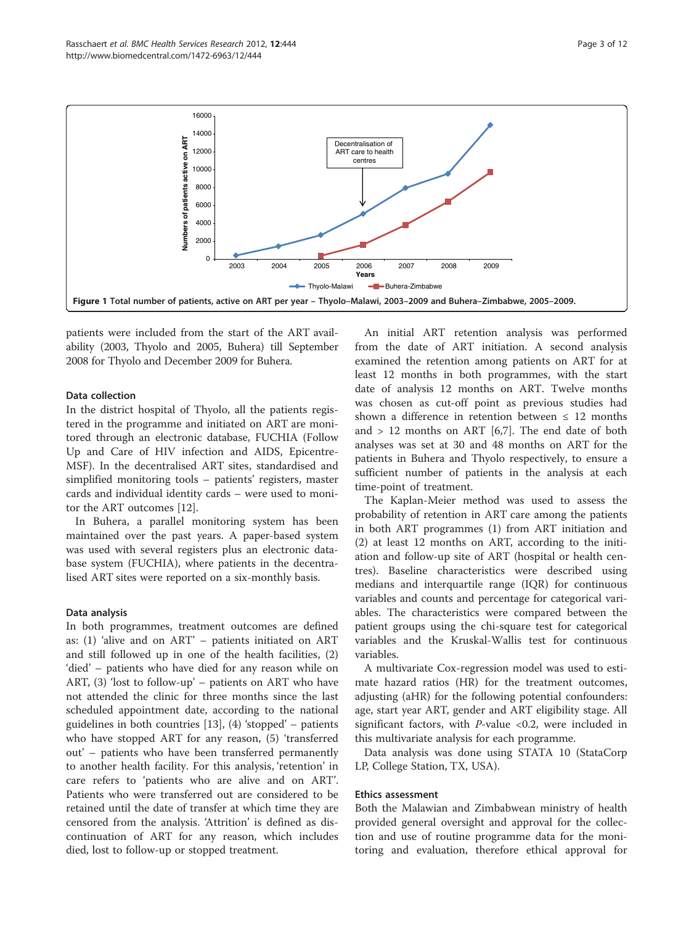<span id="page-2-0"></span>

patients were included from the start of the ART availability (2003, Thyolo and 2005, Buhera) till September 2008 for Thyolo and December 2009 for Buhera.

## Data collection

In the district hospital of Thyolo, all the patients registered in the programme and initiated on ART are monitored through an electronic database, FUCHIA (Follow Up and Care of HIV infection and AIDS, Epicentre-MSF). In the decentralised ART sites, standardised and simplified monitoring tools – patients' registers, master cards and individual identity cards – were used to monitor the ART outcomes [\[12](#page-10-0)].

In Buhera, a parallel monitoring system has been maintained over the past years. A paper-based system was used with several registers plus an electronic database system (FUCHIA), where patients in the decentralised ART sites were reported on a six-monthly basis.

#### Data analysis

In both programmes, treatment outcomes are defined as: (1) 'alive and on ART' – patients initiated on ART and still followed up in one of the health facilities, (2) 'died' – patients who have died for any reason while on ART, (3) 'lost to follow-up' – patients on ART who have not attended the clinic for three months since the last scheduled appointment date, according to the national guidelines in both countries  $[13]$  $[13]$ ,  $(4)$  'stopped' – patients who have stopped ART for any reason, (5) 'transferred out' – patients who have been transferred permanently to another health facility. For this analysis, 'retention' in care refers to 'patients who are alive and on ART'. Patients who were transferred out are considered to be retained until the date of transfer at which time they are censored from the analysis. 'Attrition' is defined as discontinuation of ART for any reason, which includes died, lost to follow-up or stopped treatment.

An initial ART retention analysis was performed from the date of ART initiation. A second analysis examined the retention among patients on ART for at least 12 months in both programmes, with the start date of analysis 12 months on ART. Twelve months was chosen as cut-off point as previous studies had shown a difference in retention between  $\leq 12$  months and  $> 12$  months on ART [[6](#page-10-0),[7\]](#page-10-0). The end date of both analyses was set at 30 and 48 months on ART for the patients in Buhera and Thyolo respectively, to ensure a sufficient number of patients in the analysis at each time-point of treatment.

The Kaplan-Meier method was used to assess the probability of retention in ART care among the patients in both ART programmes (1) from ART initiation and (2) at least 12 months on ART, according to the initiation and follow-up site of ART (hospital or health centres). Baseline characteristics were described using medians and interquartile range (IQR) for continuous variables and counts and percentage for categorical variables. The characteristics were compared between the patient groups using the chi-square test for categorical variables and the Kruskal-Wallis test for continuous variables.

A multivariate Cox-regression model was used to estimate hazard ratios (HR) for the treatment outcomes, adjusting (aHR) for the following potential confounders: age, start year ART, gender and ART eligibility stage. All significant factors, with  $P$ -value <0.2, were included in this multivariate analysis for each programme.

Data analysis was done using STATA 10 (StataCorp LP, College Station, TX, USA).

#### Ethics assessment

Both the Malawian and Zimbabwean ministry of health provided general oversight and approval for the collection and use of routine programme data for the monitoring and evaluation, therefore ethical approval for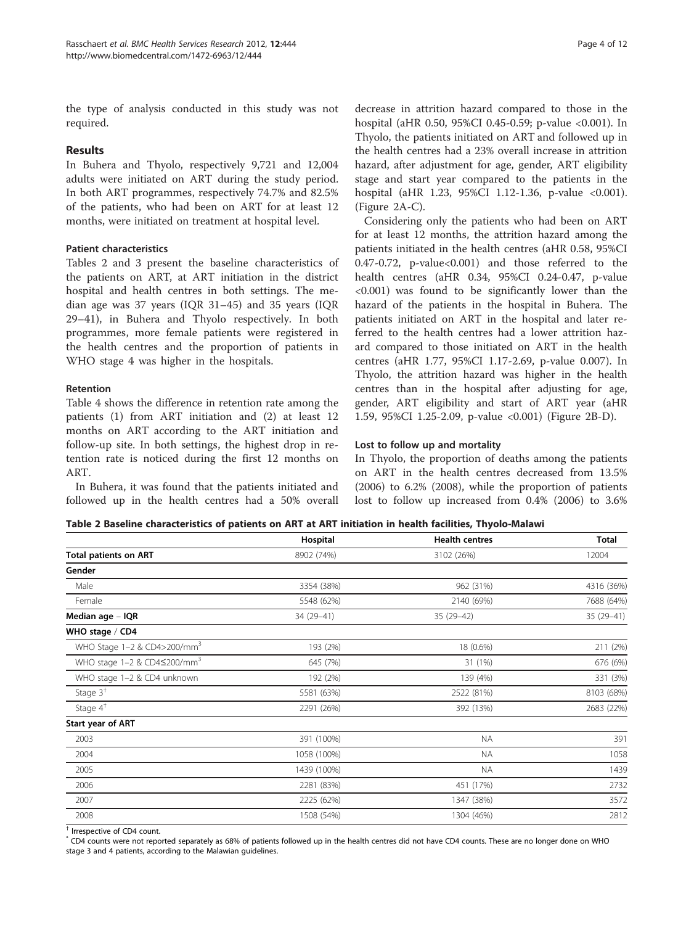the type of analysis conducted in this study was not required.

## Results

In Buhera and Thyolo, respectively 9,721 and 12,004 adults were initiated on ART during the study period. In both ART programmes, respectively 74.7% and 82.5% of the patients, who had been on ART for at least 12 months, were initiated on treatment at hospital level.

## Patient characteristics

Tables 2 and [3](#page-4-0) present the baseline characteristics of the patients on ART, at ART initiation in the district hospital and health centres in both settings. The median age was 37 years (IQR 31–45) and 35 years (IQR 29–41), in Buhera and Thyolo respectively. In both programmes, more female patients were registered in the health centres and the proportion of patients in WHO stage 4 was higher in the hospitals.

## Retention

Table [4](#page-4-0) shows the difference in retention rate among the patients (1) from ART initiation and (2) at least 12 months on ART according to the ART initiation and follow-up site. In both settings, the highest drop in retention rate is noticed during the first 12 months on ART.

In Buhera, it was found that the patients initiated and followed up in the health centres had a 50% overall decrease in attrition hazard compared to those in the hospital (aHR 0.50, 95%CI 0.45-0.59; p-value <0.001). In Thyolo, the patients initiated on ART and followed up in the health centres had a 23% overall increase in attrition hazard, after adjustment for age, gender, ART eligibility stage and start year compared to the patients in the hospital (aHR 1.23, 95%CI 1.12-1.36, p-value <0.001). (Figure [2](#page-5-0)A-C).

Considering only the patients who had been on ART for at least 12 months, the attrition hazard among the patients initiated in the health centres (aHR 0.58, 95%CI 0.47-0.72, p-value<0.001) and those referred to the health centres (aHR 0.34, 95%CI 0.24-0.47, p-value <0.001) was found to be significantly lower than the hazard of the patients in the hospital in Buhera. The patients initiated on ART in the hospital and later referred to the health centres had a lower attrition hazard compared to those initiated on ART in the health centres (aHR 1.77, 95%CI 1.17-2.69, p-value 0.007). In Thyolo, the attrition hazard was higher in the health centres than in the hospital after adjusting for age, gender, ART eligibility and start of ART year (aHR 1.59, 95%CI 1.25-2.09, p-value <0.001) (Figure [2](#page-5-0)B-D).

## Lost to follow up and mortality

In Thyolo, the proportion of deaths among the patients on ART in the health centres decreased from 13.5% (2006) to 6.2% (2008), while the proportion of patients lost to follow up increased from 0.4% (2006) to 3.6%

| Table 2 Baseline characteristics of patients on ART at ART initiation in health facilities, Thyolo-Malawi |  |  |  |  |
|-----------------------------------------------------------------------------------------------------------|--|--|--|--|
|-----------------------------------------------------------------------------------------------------------|--|--|--|--|

|                                                | Hospital    | <b>Health centres</b> | <b>Total</b> |
|------------------------------------------------|-------------|-----------------------|--------------|
| <b>Total patients on ART</b>                   | 8902 (74%)  | 3102 (26%)            | 12004        |
| Gender                                         |             |                       |              |
| Male                                           | 3354 (38%)  | 962 (31%)             | 4316 (36%)   |
| Female                                         | 5548 (62%)  | 2140 (69%)            | 7688 (64%)   |
| Median age - IQR                               | 34 (29-41)  | 35 (29-42)            | 35 (29-41)   |
| WHO stage / CD4                                |             |                       |              |
| WHO Stage 1-2 & CD4>200/mm <sup>3</sup>        | 193 (2%)    | 18 (0.6%)             | 211 (2%)     |
| WHO stage 1-2 & CD4 $\leq$ 200/mm <sup>3</sup> | 645 (7%)    | 31 (1%)               | 676 (6%)     |
| WHO stage 1-2 & CD4 unknown                    | 192 (2%)    | 139 (4%)              | 331 (3%)     |
| Stage $3†$                                     | 5581 (63%)  | 2522 (81%)            | 8103 (68%)   |
| Stage $4^{\dagger}$                            | 2291 (26%)  | 392 (13%)             | 2683 (22%)   |
| Start year of ART                              |             |                       |              |
| 2003                                           | 391 (100%)  | <b>NA</b>             | 391          |
| 2004                                           | 1058 (100%) | <b>NA</b>             | 1058         |
| 2005                                           | 1439 (100%) | <b>NA</b>             | 1439         |
| 2006                                           | 2281 (83%)  | 451 (17%)             | 2732         |
| 2007                                           | 2225 (62%)  | 1347 (38%)            | 3572         |
| 2008                                           | 1508 (54%)  | 1304 (46%)            | 2812         |

† Irrespective of CD4 count.

\* CD4 counts were not reported separately as 68% of patients followed up in the health centres did not have CD4 counts. These are no longer done on WHO stage 3 and 4 patients, according to the Malawian guidelines.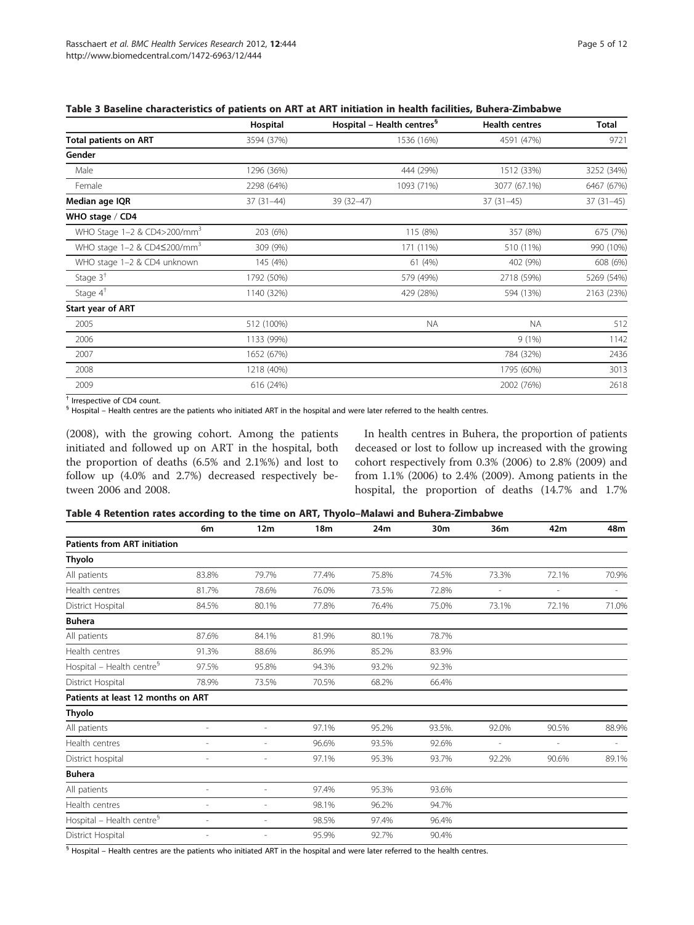|                                                  | Hospital    | Hospital - Health centres <sup>§</sup> | <b>Health centres</b> | <b>Total</b> |
|--------------------------------------------------|-------------|----------------------------------------|-----------------------|--------------|
| <b>Total patients on ART</b>                     | 3594 (37%)  | 1536 (16%)                             | 4591 (47%)            | 9721         |
| Gender                                           |             |                                        |                       |              |
| Male                                             | 1296 (36%)  | 444 (29%)                              | 1512 (33%)            | 3252 (34%)   |
| Female                                           | 2298 (64%)  | 1093 (71%)                             | 3077 (67.1%)          | 6467 (67%)   |
| Median age IQR                                   | $37(31-44)$ | 39 (32-47)                             | $37(31-45)$           | $37(31-45)$  |
| WHO stage $/$ CD4                                |             |                                        |                       |              |
| WHO Stage 1-2 & CD4>200/mm <sup>3</sup>          | 203 (6%)    | 115 (8%)                               | 357 (8%)              | 675 (7%)     |
| WHO stage $1-2$ & CD4 $\leq$ 200/mm <sup>3</sup> | 309 (9%)    | 171 (11%)                              | 510 (11%)             | 990 (10%)    |
| WHO stage 1-2 & CD4 unknown                      | 145 (4%)    | 61 (4%)                                | 402 (9%)              | 608 (6%)     |
| Stage $3†$                                       | 1792 (50%)  | 579 (49%)                              | 2718 (59%)            | 5269 (54%)   |
| Stage $4^{\dagger}$                              | 1140 (32%)  | 429 (28%)                              | 594 (13%)             | 2163 (23%)   |
| <b>Start year of ART</b>                         |             |                                        |                       |              |
| 2005                                             | 512 (100%)  | <b>NA</b>                              | NA.                   | 512          |
| 2006                                             | 1133 (99%)  |                                        | 9(1%)                 | 1142         |
| 2007                                             | 1652 (67%)  |                                        | 784 (32%)             | 2436         |
| 2008                                             | 1218 (40%)  |                                        | 1795 (60%)            | 3013         |
| 2009                                             | 616 (24%)   |                                        | 2002 (76%)            | 2618         |
| $+$ .<br>$\sim$ $\sim$ $\sim$                    |             |                                        |                       |              |

<span id="page-4-0"></span>

Irrespective of CD4 count.

§ Hospital – Health centres are the patients who initiated ART in the hospital and were later referred to the health centres.

(2008), with the growing cohort. Among the patients initiated and followed up on ART in the hospital, both the proportion of deaths (6.5% and 2.1%%) and lost to follow up (4.0% and 2.7%) decreased respectively between 2006 and 2008.

In health centres in Buhera, the proportion of patients deceased or lost to follow up increased with the growing cohort respectively from 0.3% (2006) to 2.8% (2009) and from 1.1% (2006) to 2.4% (2009). Among patients in the hospital, the proportion of deaths (14.7% and 1.7%

## Table 4 Retention rates according to the time on ART, Thyolo–Malawi and Buhera-Zimbabwe

|                                       | 6m                       | 12 <sub>m</sub>          | 18 <sub>m</sub> | 24m   | 30m    | 36m            | 42m                      | 48m                      |
|---------------------------------------|--------------------------|--------------------------|-----------------|-------|--------|----------------|--------------------------|--------------------------|
| <b>Patients from ART initiation</b>   |                          |                          |                 |       |        |                |                          |                          |
| Thyolo                                |                          |                          |                 |       |        |                |                          |                          |
| All patients                          | 83.8%                    | 79.7%                    | 77.4%           | 75.8% | 74.5%  | 73.3%          | 72.1%                    | 70.9%                    |
| Health centres                        | 81.7%                    | 78.6%                    | 76.0%           | 73.5% | 72.8%  | $\overline{a}$ | $\overline{\phantom{a}}$ | $\sim$                   |
| District Hospital                     | 84.5%                    | 80.1%                    | 77.8%           | 76.4% | 75.0%  | 73.1%          | 72.1%                    | 71.0%                    |
| <b>Buhera</b>                         |                          |                          |                 |       |        |                |                          |                          |
| All patients                          | 87.6%                    | 84.1%                    | 81.9%           | 80.1% | 78.7%  |                |                          |                          |
| Health centres                        | 91.3%                    | 88.6%                    | 86.9%           | 85.2% | 83.9%  |                |                          |                          |
| Hospital - Health centre <sup>§</sup> | 97.5%                    | 95.8%                    | 94.3%           | 93.2% | 92.3%  |                |                          |                          |
| District Hospital                     | 78.9%                    | 73.5%                    | 70.5%           | 68.2% | 66.4%  |                |                          |                          |
| Patients at least 12 months on ART    |                          |                          |                 |       |        |                |                          |                          |
| <b>Thyolo</b>                         |                          |                          |                 |       |        |                |                          |                          |
| All patients                          | $\overline{\phantom{a}}$ | $\overline{\phantom{a}}$ | 97.1%           | 95.2% | 93.5%. | 92.0%          | 90.5%                    | 88.9%                    |
| Health centres                        | $\overline{\phantom{a}}$ | $\overline{\phantom{a}}$ | 96.6%           | 93.5% | 92.6%  |                | $\overline{a}$           | $\overline{\phantom{a}}$ |
| District hospital                     | ٠                        | $\overline{\phantom{a}}$ | 97.1%           | 95.3% | 93.7%  | 92.2%          | 90.6%                    | 89.1%                    |
| <b>Buhera</b>                         |                          |                          |                 |       |        |                |                          |                          |
| All patients                          | $\overline{\phantom{a}}$ | $\overline{\phantom{a}}$ | 97.4%           | 95.3% | 93.6%  |                |                          |                          |
| Health centres                        | ÷,                       | ٠                        | 98.1%           | 96.2% | 94.7%  |                |                          |                          |
| Hospital - Health centre <sup>§</sup> | ÷,                       | $\overline{\phantom{a}}$ | 98.5%           | 97.4% | 96.4%  |                |                          |                          |
| District Hospital                     | ٠                        |                          | 95.9%           | 92.7% | 90.4%  |                |                          |                          |

 $\frac{6}{3}$  Hospital – Health centres are the patients who initiated ART in the hospital and were later referred to the health centres.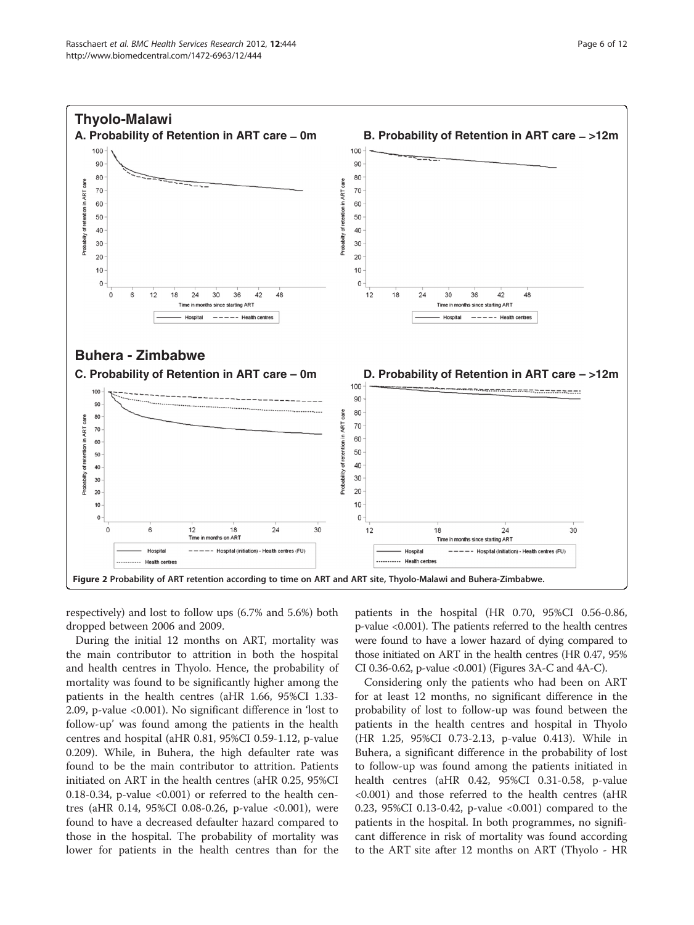<span id="page-5-0"></span>

respectively) and lost to follow ups (6.7% and 5.6%) both dropped between 2006 and 2009.

During the initial 12 months on ART, mortality was the main contributor to attrition in both the hospital and health centres in Thyolo. Hence, the probability of mortality was found to be significantly higher among the patients in the health centres (aHR 1.66, 95%CI 1.33- 2.09, p-value <0.001). No significant difference in 'lost to follow-up' was found among the patients in the health centres and hospital (aHR 0.81, 95%CI 0.59-1.12, p-value 0.209). While, in Buhera, the high defaulter rate was found to be the main contributor to attrition. Patients initiated on ART in the health centres (aHR 0.25, 95%CI 0.18-0.34, p-value <0.001) or referred to the health centres (aHR 0.14, 95%CI 0.08-0.26, p-value <0.001), were found to have a decreased defaulter hazard compared to those in the hospital. The probability of mortality was lower for patients in the health centres than for the patients in the hospital (HR 0.70, 95%CI 0.56-0.86, p-value <0.001). The patients referred to the health centres were found to have a lower hazard of dying compared to those initiated on ART in the health centres (HR 0.47, 95% CI 0.36-0.62, p-value <0.001) (Figures [3A](#page-6-0)-C and [4A](#page-7-0)-C).

Considering only the patients who had been on ART for at least 12 months, no significant difference in the probability of lost to follow-up was found between the patients in the health centres and hospital in Thyolo (HR 1.25, 95%CI 0.73-2.13, p-value 0.413). While in Buhera, a significant difference in the probability of lost to follow-up was found among the patients initiated in health centres (aHR 0.42, 95%CI 0.31-0.58, p-value <0.001) and those referred to the health centres (aHR 0.23, 95%CI 0.13-0.42, p-value <0.001) compared to the patients in the hospital. In both programmes, no significant difference in risk of mortality was found according to the ART site after 12 months on ART (Thyolo - HR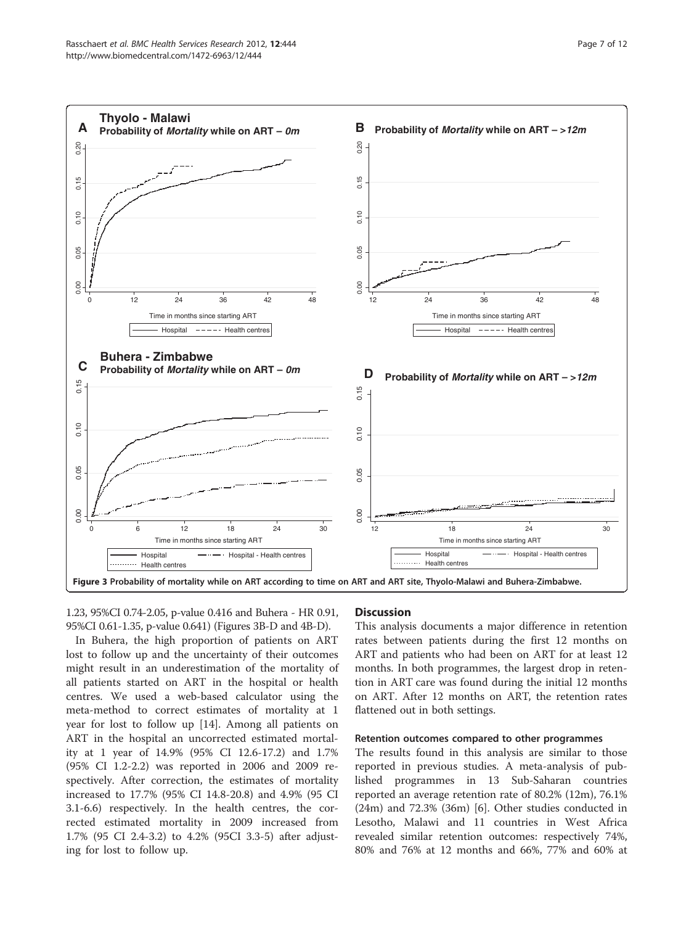<span id="page-6-0"></span>

1.23, 95%CI 0.74-2.05, p-value 0.416 and Buhera - HR 0.91, 95%CI 0.61-1.35, p-value 0.641) (Figures 3B-D and [4B](#page-7-0)-D).

In Buhera, the high proportion of patients on ART lost to follow up and the uncertainty of their outcomes might result in an underestimation of the mortality of all patients started on ART in the hospital or health centres. We used a web-based calculator using the meta-method to correct estimates of mortality at 1 year for lost to follow up [\[14](#page-10-0)]. Among all patients on ART in the hospital an uncorrected estimated mortality at 1 year of 14.9% (95% CI 12.6-17.2) and 1.7% (95% CI 1.2-2.2) was reported in 2006 and 2009 respectively. After correction, the estimates of mortality increased to 17.7% (95% CI 14.8-20.8) and 4.9% (95 CI 3.1-6.6) respectively. In the health centres, the corrected estimated mortality in 2009 increased from 1.7% (95 CI 2.4-3.2) to 4.2% (95CI 3.3-5) after adjusting for lost to follow up.

## **Discussion**

This analysis documents a major difference in retention rates between patients during the first 12 months on ART and patients who had been on ART for at least 12 months. In both programmes, the largest drop in retention in ART care was found during the initial 12 months on ART. After 12 months on ART, the retention rates flattened out in both settings.

#### Retention outcomes compared to other programmes

The results found in this analysis are similar to those reported in previous studies. A meta-analysis of published programmes in 13 Sub-Saharan countries reported an average retention rate of 80.2% (12m), 76.1% (24m) and 72.3% (36m) [\[6](#page-10-0)]. Other studies conducted in Lesotho, Malawi and 11 countries in West Africa revealed similar retention outcomes: respectively 74%, 80% and 76% at 12 months and 66%, 77% and 60% at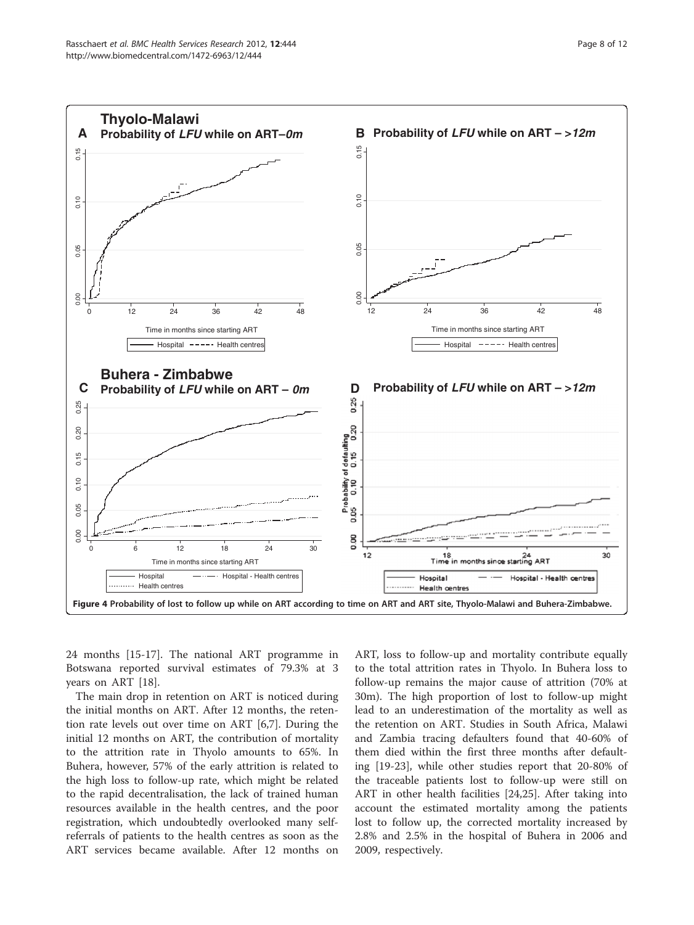

<span id="page-7-0"></span>

24 months [\[15](#page-10-0)-[17\]](#page-10-0). The national ART programme in Botswana reported survival estimates of 79.3% at 3 years on ART [\[18\]](#page-10-0).

The main drop in retention on ART is noticed during the initial months on ART. After 12 months, the retention rate levels out over time on ART [[6,7\]](#page-10-0). During the initial 12 months on ART, the contribution of mortality to the attrition rate in Thyolo amounts to 65%. In Buhera, however, 57% of the early attrition is related to the high loss to follow-up rate, which might be related to the rapid decentralisation, the lack of trained human resources available in the health centres, and the poor registration, which undoubtedly overlooked many selfreferrals of patients to the health centres as soon as the ART services became available. After 12 months on

ART, loss to follow-up and mortality contribute equally to the total attrition rates in Thyolo. In Buhera loss to follow-up remains the major cause of attrition (70% at 30m). The high proportion of lost to follow-up might lead to an underestimation of the mortality as well as the retention on ART. Studies in South Africa, Malawi and Zambia tracing defaulters found that 40-60% of them died within the first three months after defaulting [\[19](#page-10-0)-[23\]](#page-10-0), while other studies report that 20-80% of the traceable patients lost to follow-up were still on ART in other health facilities [\[24,25](#page-10-0)]. After taking into account the estimated mortality among the patients lost to follow up, the corrected mortality increased by 2.8% and 2.5% in the hospital of Buhera in 2006 and 2009, respectively.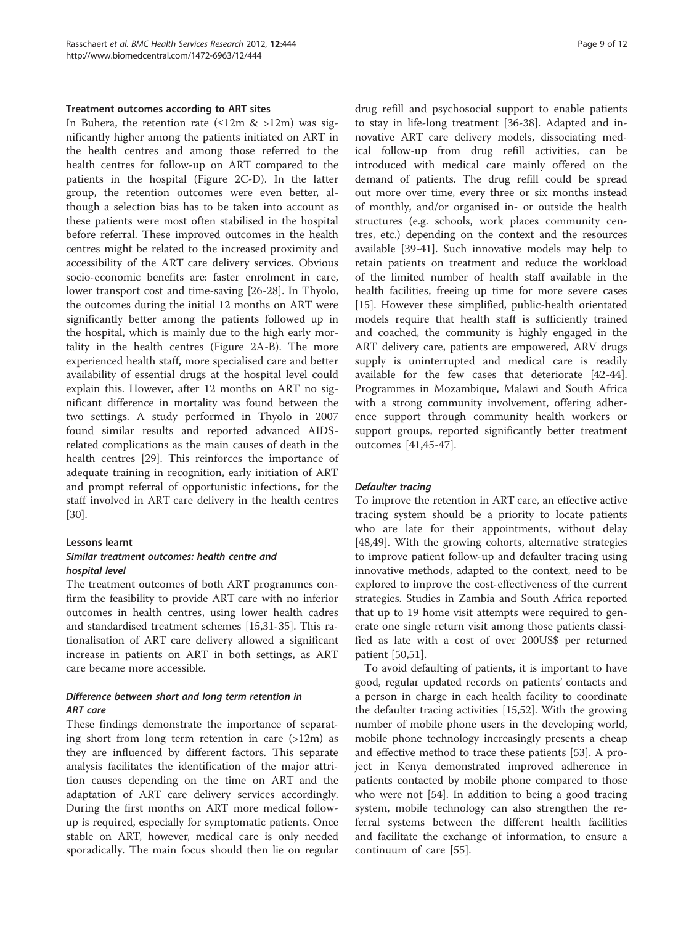#### Treatment outcomes according to ART sites

In Buhera, the retention rate  $(\leq 12m \> 12m)$  was significantly higher among the patients initiated on ART in the health centres and among those referred to the health centres for follow-up on ART compared to the patients in the hospital (Figure [2](#page-5-0)C-D). In the latter group, the retention outcomes were even better, although a selection bias has to be taken into account as these patients were most often stabilised in the hospital before referral. These improved outcomes in the health centres might be related to the increased proximity and accessibility of the ART care delivery services. Obvious socio-economic benefits are: faster enrolment in care, lower transport cost and time-saving [\[26](#page-10-0)-[28\]](#page-10-0). In Thyolo, the outcomes during the initial 12 months on ART were significantly better among the patients followed up in the hospital, which is mainly due to the high early mortality in the health centres (Figure [2A](#page-5-0)-B). The more experienced health staff, more specialised care and better availability of essential drugs at the hospital level could explain this. However, after 12 months on ART no significant difference in mortality was found between the two settings. A study performed in Thyolo in 2007 found similar results and reported advanced AIDSrelated complications as the main causes of death in the health centres [\[29](#page-10-0)]. This reinforces the importance of adequate training in recognition, early initiation of ART and prompt referral of opportunistic infections, for the staff involved in ART care delivery in the health centres [[30\]](#page-10-0).

## Lessons learnt

## Similar treatment outcomes: health centre and hospital level

The treatment outcomes of both ART programmes confirm the feasibility to provide ART care with no inferior outcomes in health centres, using lower health cadres and standardised treatment schemes [[15](#page-10-0),[31](#page-10-0)-[35\]](#page-10-0). This rationalisation of ART care delivery allowed a significant increase in patients on ART in both settings, as ART care became more accessible.

## Difference between short and long term retention in ART care

These findings demonstrate the importance of separating short from long term retention in care  $(>12m)$  as they are influenced by different factors. This separate analysis facilitates the identification of the major attrition causes depending on the time on ART and the adaptation of ART care delivery services accordingly. During the first months on ART more medical followup is required, especially for symptomatic patients. Once stable on ART, however, medical care is only needed sporadically. The main focus should then lie on regular

drug refill and psychosocial support to enable patients to stay in life-long treatment [[36-38\]](#page-10-0). Adapted and innovative ART care delivery models, dissociating medical follow-up from drug refill activities, can be introduced with medical care mainly offered on the demand of patients. The drug refill could be spread out more over time, every three or six months instead of monthly, and/or organised in- or outside the health structures (e.g. schools, work places community centres, etc.) depending on the context and the resources available [\[39](#page-10-0)-[41\]](#page-11-0). Such innovative models may help to retain patients on treatment and reduce the workload of the limited number of health staff available in the health facilities, freeing up time for more severe cases [[15\]](#page-10-0). However these simplified, public-health orientated models require that health staff is sufficiently trained and coached, the community is highly engaged in the ART delivery care, patients are empowered, ARV drugs supply is uninterrupted and medical care is readily available for the few cases that deteriorate [\[42-44](#page-11-0)]. Programmes in Mozambique, Malawi and South Africa with a strong community involvement, offering adherence support through community health workers or support groups, reported significantly better treatment outcomes [\[41,45](#page-11-0)-[47](#page-11-0)].

## Defaulter tracing

To improve the retention in ART care, an effective active tracing system should be a priority to locate patients who are late for their appointments, without delay [[48,49\]](#page-11-0). With the growing cohorts, alternative strategies to improve patient follow-up and defaulter tracing using innovative methods, adapted to the context, need to be explored to improve the cost-effectiveness of the current strategies. Studies in Zambia and South Africa reported that up to 19 home visit attempts were required to generate one single return visit among those patients classified as late with a cost of over 200US\$ per returned patient [\[50,51\]](#page-11-0).

To avoid defaulting of patients, it is important to have good, regular updated records on patients' contacts and a person in charge in each health facility to coordinate the defaulter tracing activities [\[15](#page-10-0)[,52](#page-11-0)]. With the growing number of mobile phone users in the developing world, mobile phone technology increasingly presents a cheap and effective method to trace these patients [\[53](#page-11-0)]. A project in Kenya demonstrated improved adherence in patients contacted by mobile phone compared to those who were not [\[54\]](#page-11-0). In addition to being a good tracing system, mobile technology can also strengthen the referral systems between the different health facilities and facilitate the exchange of information, to ensure a continuum of care [\[55](#page-11-0)].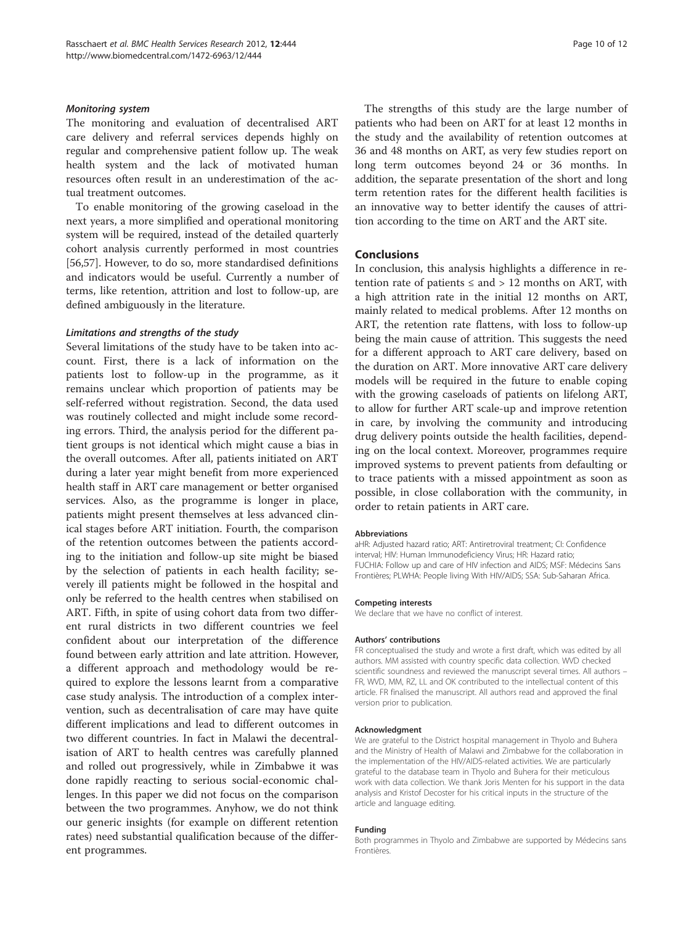#### Monitoring system

The monitoring and evaluation of decentralised ART care delivery and referral services depends highly on regular and comprehensive patient follow up. The weak health system and the lack of motivated human resources often result in an underestimation of the actual treatment outcomes.

To enable monitoring of the growing caseload in the next years, a more simplified and operational monitoring system will be required, instead of the detailed quarterly cohort analysis currently performed in most countries [[56,57\]](#page-11-0). However, to do so, more standardised definitions and indicators would be useful. Currently a number of terms, like retention, attrition and lost to follow-up, are defined ambiguously in the literature.

#### Limitations and strengths of the study

Several limitations of the study have to be taken into account. First, there is a lack of information on the patients lost to follow-up in the programme, as it remains unclear which proportion of patients may be self-referred without registration. Second, the data used was routinely collected and might include some recording errors. Third, the analysis period for the different patient groups is not identical which might cause a bias in the overall outcomes. After all, patients initiated on ART during a later year might benefit from more experienced health staff in ART care management or better organised services. Also, as the programme is longer in place, patients might present themselves at less advanced clinical stages before ART initiation. Fourth, the comparison of the retention outcomes between the patients according to the initiation and follow-up site might be biased by the selection of patients in each health facility; severely ill patients might be followed in the hospital and only be referred to the health centres when stabilised on ART. Fifth, in spite of using cohort data from two different rural districts in two different countries we feel confident about our interpretation of the difference found between early attrition and late attrition. However, a different approach and methodology would be required to explore the lessons learnt from a comparative case study analysis. The introduction of a complex intervention, such as decentralisation of care may have quite different implications and lead to different outcomes in two different countries. In fact in Malawi the decentralisation of ART to health centres was carefully planned and rolled out progressively, while in Zimbabwe it was done rapidly reacting to serious social-economic challenges. In this paper we did not focus on the comparison between the two programmes. Anyhow, we do not think our generic insights (for example on different retention rates) need substantial qualification because of the different programmes.

The strengths of this study are the large number of patients who had been on ART for at least 12 months in the study and the availability of retention outcomes at 36 and 48 months on ART, as very few studies report on long term outcomes beyond 24 or 36 months. In addition, the separate presentation of the short and long term retention rates for the different health facilities is an innovative way to better identify the causes of attrition according to the time on ART and the ART site.

## Conclusions

In conclusion, this analysis highlights a difference in retention rate of patients  $\leq$  and  $> 12$  months on ART, with a high attrition rate in the initial 12 months on ART, mainly related to medical problems. After 12 months on ART, the retention rate flattens, with loss to follow-up being the main cause of attrition. This suggests the need for a different approach to ART care delivery, based on the duration on ART. More innovative ART care delivery models will be required in the future to enable coping with the growing caseloads of patients on lifelong ART, to allow for further ART scale-up and improve retention in care, by involving the community and introducing drug delivery points outside the health facilities, depending on the local context. Moreover, programmes require improved systems to prevent patients from defaulting or to trace patients with a missed appointment as soon as possible, in close collaboration with the community, in order to retain patients in ART care.

#### Abbreviations

aHR: Adjusted hazard ratio; ART: Antiretroviral treatment; CI: Confidence interval; HIV: Human Immunodeficiency Virus; HR: Hazard ratio; FUCHIA: Follow up and care of HIV infection and AIDS; MSF: Médecins Sans Frontières; PLWHA: People living With HIV/AIDS; SSA: Sub-Saharan Africa.

#### Competing interests

We declare that we have no conflict of interest.

#### Authors' contributions

FR conceptualised the study and wrote a first draft, which was edited by all authors. MM assisted with country specific data collection. WVD checked scientific soundness and reviewed the manuscript several times. All authors – FR, WVD, MM, RZ, LL and OK contributed to the intellectual content of this article. FR finalised the manuscript. All authors read and approved the final version prior to publication.

#### Acknowledgment

We are grateful to the District hospital management in Thyolo and Buhera and the Ministry of Health of Malawi and Zimbabwe for the collaboration in the implementation of the HIV/AIDS-related activities. We are particularly grateful to the database team in Thyolo and Buhera for their meticulous work with data collection. We thank Joris Menten for his support in the data analysis and Kristof Decoster for his critical inputs in the structure of the article and language editing.

#### Funding

Both programmes in Thyolo and Zimbabwe are supported by Médecins sans Frontières.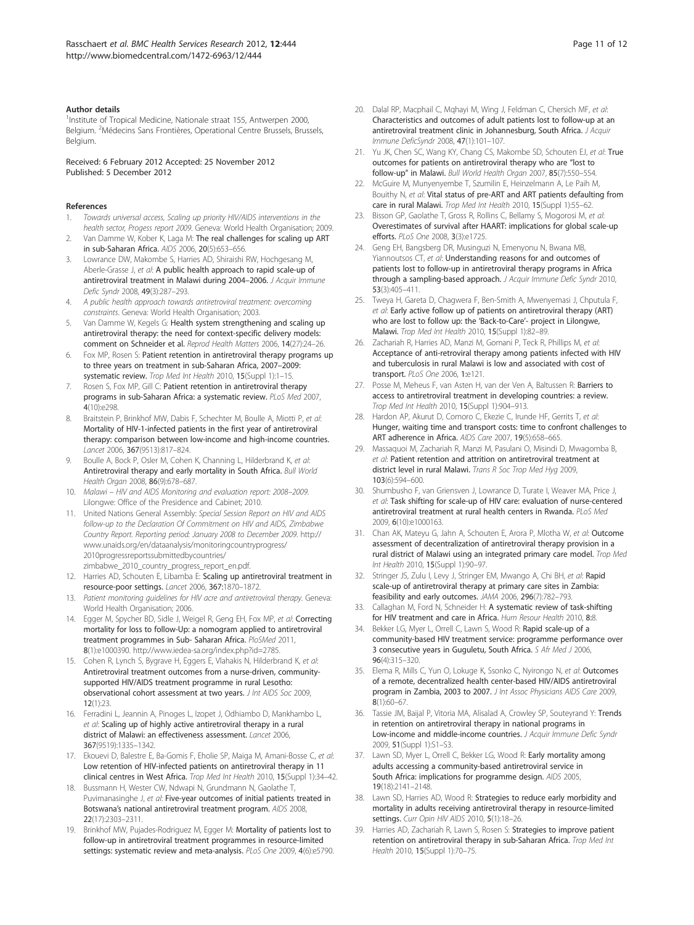#### <span id="page-10-0"></span>Author details

<sup>1</sup>Institute of Tropical Medicine, Nationale straat 155, Antwerpen 2000, Belgium. <sup>2</sup>Médecins Sans Frontières, Operational Centre Brussels, Brussels, Belgium.

Received: 6 February 2012 Accepted: 25 November 2012 Published: 5 December 2012

#### References

- 1. Towards universal access, Scaling up priority HIV/AIDS interventions in the health sector, Progess report 2009. Geneva: World Health Organisation; 2009.
- 2. Van Damme W, Kober K, Laga M: The real challenges for scaling up ART in sub-Saharan Africa. AIDS 2006, 20(5):653–656.
- 3. Lowrance DW, Makombe S, Harries AD, Shiraishi RW, Hochgesang M, Aberle-Grasse J, et al: A public health approach to rapid scale-up of antiretroviral treatment in Malawi during 2004-2006. J Acquir Immune Defic Syndr 2008, 49(3):287–293.
- 4. A public health approach towards antiretroviral treatment: overcoming constraints. Geneva: World Health Organisation; 2003.
- 5. Van Damme W, Kegels G: Health system strengthening and scaling up antiretroviral therapy: the need for context-specific delivery models: comment on Schneider et al. Reprod Health Matters 2006, 14(27):24–26.
- 6. Fox MP, Rosen S: Patient retention in antiretroviral therapy programs up to three years on treatment in sub-Saharan Africa, 2007–2009: systematic review. Trop Med Int Health 2010, 15(Suppl 1):1-15.
- 7. Rosen S, Fox MP, Gill C: Patient retention in antiretroviral therapy programs in sub-Saharan Africa: a systematic review. PLoS Med 2007, 4(10):e298.
- 8. Braitstein P, Brinkhof MW, Dabis F, Schechter M, Boulle A, Miotti P, et al: Mortality of HIV-1-infected patients in the first year of antiretroviral therapy: comparison between low-income and high-income countries. Lancet 2006, 367(9513):817–824.
- 9. Boulle A, Bock P, Osler M, Cohen K, Channing L, Hilderbrand K, et al: Antiretroviral therapy and early mortality in South Africa. Bull World Health Organ 2008, 86(9):678–687.
- 10. Malawi HIV and AIDS Monitoring and evaluation report: 2008–2009. Lilongwe: Office of the Presidence and Cabinet; 2010.
- 11. United Nations General Assembly: Special Session Report on HIV and AIDS follow-up to the Declaration Of Commitment on HIV and AIDS, Zimbabwe Country Report. Reporting period: January 2008 to December 2009. [http://](http://www.unaids.org/en/dataanalysis/monitoringcountryprogress/2010progressreportssubmittedbycountries/zimbabwe_2010_country_progress_report_en.pdf) [www.unaids.org/en/dataanalysis/monitoringcountryprogress/](http://www.unaids.org/en/dataanalysis/monitoringcountryprogress/2010progressreportssubmittedbycountries/zimbabwe_2010_country_progress_report_en.pdf) [2010progressreportssubmittedbycountries/](http://www.unaids.org/en/dataanalysis/monitoringcountryprogress/2010progressreportssubmittedbycountries/zimbabwe_2010_country_progress_report_en.pdf) [zimbabwe\\_2010\\_country\\_progress\\_report\\_en.pdf.](http://www.unaids.org/en/dataanalysis/monitoringcountryprogress/2010progressreportssubmittedbycountries/zimbabwe_2010_country_progress_report_en.pdf)
- 12. Harries AD, Schouten E, Libamba E: Scaling up antiretroviral treatment in resource-poor settings. Lancet 2006, 367:1870–1872.
- Patient monitoring guidelines for HIV acre and antiretroviral therapy. Geneva: World Health Organisation; 2006.
- 14. Egger M, Spycher BD, Sidle J, Weigel R, Geng EH, Fox MP, et al: Correcting mortality for loss to follow-Up: a nomogram applied to antiretroviral treatment programmes in Sub- Saharan Africa. PloSMed 2011, 8(1):e1000390. [http://www.iedea-sa.org/index.php?id=2785.](http://www.iedea-sa.org/index.php?id=2785)
- 15. Cohen R, Lynch S, Bygrave H, Eggers E, Vlahakis N, Hilderbrand K, et al: Antiretroviral treatment outcomes from a nurse-driven, communitysupported HIV/AIDS treatment programme in rural Lesotho: observational cohort assessment at two years. J Int AIDS Soc 2009, 12(1):23.
- 16. Ferradini L, Jeannin A, Pinoges L, Izopet J, Odhiambo D, Mankhambo L, et al: Scaling up of highly active antiretroviral therapy in a rural district of Malawi: an effectiveness assessment. Lancet 2006, 367(9519):1335–1342.
- 17. Ekouevi D, Balestre E, Ba-Gomis F, Eholie SP, Maiga M, Amani-Bosse C, et al: Low retention of HIV-infected patients on antiretroviral therapy in 11 clinical centres in West Africa. Trop Med Int Health 2010, 15(Suppl 1):34–42.
- 18. Bussmann H, Wester CW, Ndwapi N, Grundmann N, Gaolathe T, Puvimanasinghe J, et al: Five-year outcomes of initial patients treated in Botswana's national antiretroviral treatment program. AIDS 2008, 22(17):2303–2311.
- 19. Brinkhof MW, Pujades-Rodriguez M, Egger M: Mortality of patients lost to follow-up in antiretroviral treatment programmes in resource-limited settings: systematic review and meta-analysis. PLoS One 2009, 4(6):e5790.
- 20. Dalal RP, Macphail C, Mqhayi M, Wing J, Feldman C, Chersich MF, et al: Characteristics and outcomes of adult patients lost to follow-up at an antiretroviral treatment clinic in Johannesburg, South Africa. J Acquir Immune DeficSyndr 2008, 47(1):101–107.
- 21. Yu JK, Chen SC, Wang KY, Chang CS, Makombe SD, Schouten EJ, et al: True outcomes for patients on antiretroviral therapy who are "lost to follow-up" in Malawi. Bull World Health Organ 2007, 85(7):550–554.
- 22. McGuire M, Munyenyembe T, Szumilin E, Heinzelmann A, Le Paih M, Bouithy N, et al: Vital status of pre-ART and ART patients defaulting from care in rural Malawi. Trop Med Int Health 2010, 15(Suppl 1):55-62.
- 23. Bisson GP, Gaolathe T, Gross R, Rollins C, Bellamy S, Mogorosi M, et al: Overestimates of survival after HAART: implications for global scale-up efforts. PLoS One 2008, 3(3):e1725.
- 24. Geng EH, Bangsberg DR, Musinguzi N, Emenyonu N, Bwana MB, Yiannoutsos CT, et al: Understanding reasons for and outcomes of patients lost to follow-up in antiretroviral therapy programs in Africa through a sampling-based approach. J Acquir Immune Defic Syndr 2010, 53(3):405–411.
- 25. Tweya H, Gareta D, Chagwera F, Ben-Smith A, Mwenyemasi J, Chputula F, et al: Early active follow up of patients on antiretroviral therapy (ART) who are lost to follow up: the 'Back-to-Care'- project in Lilongwe, Malawi. Trop Med Int Health 2010, 15(Suppl 1):82–89.
- 26. Zachariah R, Harries AD, Manzi M, Gomani P, Teck R, Phillips M, et al: Acceptance of anti-retroviral therapy among patients infected with HIV and tuberculosis in rural Malawi is low and associated with cost of transport. PLoS One 2006, 1:e121.
- 27. Posse M, Meheus F, van Asten H, van der Ven A, Baltussen R: Barriers to access to antiretroviral treatment in developing countries: a review. Trop Med Int Health 2010, 15(Suppl 1):904–913.
- 28. Hardon AP, Akurut D, Comoro C, Ekezie C, Irunde HF, Gerrits T, et al: Hunger, waiting time and transport costs: time to confront challenges to ART adherence in Africa. AIDS Care 2007, 19(5):658–665.
- 29. Massaquoi M, Zachariah R, Manzi M, Pasulani O, Misindi D, Mwagomba B, et al: Patient retention and attrition on antiretroviral treatment at district level in rural Malawi. Trans R Soc Trop Med Hyg 2009, 103(6):594–600.
- 30. Shumbusho F, van Griensven J, Lowrance D, Turate I, Weaver MA, Price J, et al: Task shifting for scale-up of HIV care: evaluation of nurse-centered antiretroviral treatment at rural health centers in Rwanda. PLoS Med 2009, 6(10):e1000163.
- 31. Chan AK, Mateyu G, Jahn A, Schouten E, Arora P, Mlotha W, et al: Outcome assessment of decentralization of antiretroviral therapy provision in a rural district of Malawi using an integrated primary care model. Trop Med Int Health 2010, 15(Suppl 1):90–97.
- 32. Stringer JS, Zulu I, Levy J, Stringer EM, Mwango A, Chi BH, et al: Rapid scale-up of antiretroviral therapy at primary care sites in Zambia: feasibility and early outcomes. JAMA 2006, 296(7):782–793.
- 33. Callaghan M, Ford N, Schneider H: A systematic review of task-shifting for HIV treatment and care in Africa. Hum Resour Health 2010, 8:8.
- Bekker LG, Myer L, Orrell C, Lawn S, Wood R: Rapid scale-up of a community-based HIV treatment service: programme performance over 3 consecutive years in Guguletu, South Africa. S Afr Med J 2006, 96(4):315–320.
- 35. Elema R, Mills C, Yun O, Lokuge K, Ssonko C, Nyirongo N, et al: Outcomes of a remote, decentralized health center-based HIV/AIDS antiretroviral program in Zambia, 2003 to 2007. J Int Assoc Physicians AIDS Care 2009, 8(1):60–67.
- 36. Tassie JM, Baijal P, Vitoria MA, Alisalad A, Crowley SP, Souteyrand Y: Trends in retention on antiretroviral therapy in national programs in Low-income and middle-income countries. J Acquir Immune Defic Syndr 2009, 51(Suppl 1):S1–S3.
- 37. Lawn SD, Myer L, Orrell C, Bekker LG, Wood R: Early mortality among adults accessing a community-based antiretroviral service in South Africa: implications for programme design. AIDS 2005, 19(18):2141–2148.
- 38. Lawn SD, Harries AD, Wood R: Strategies to reduce early morbidity and mortality in adults receiving antiretroviral therapy in resource-limited settings. Curr Opin HIV AIDS 2010, 5(1):18–26.
- 39. Harries AD, Zachariah R, Lawn S, Rosen S: Strategies to improve patient retention on antiretroviral therapy in sub-Saharan Africa. Trop Med Int Health 2010, 15(Suppl 1):70–75.